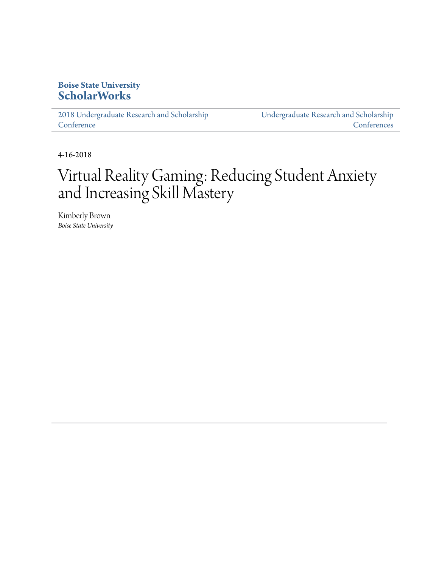#### **Boise State University [ScholarWorks](https://scholarworks.boisestate.edu)**

[2018 Undergraduate Research and Scholarship](https://scholarworks.boisestate.edu/under_conf_2018) **[Conference](https://scholarworks.boisestate.edu/under_conf_2018)** 

[Undergraduate Research and Scholarship](https://scholarworks.boisestate.edu/under_conference) **[Conferences](https://scholarworks.boisestate.edu/under_conference)** 

4-16-2018

## Virtual Reality Gaming: Reducing Student Anxiety and Increasing Skill Mastery

Kimberly Brown *Boise State University*